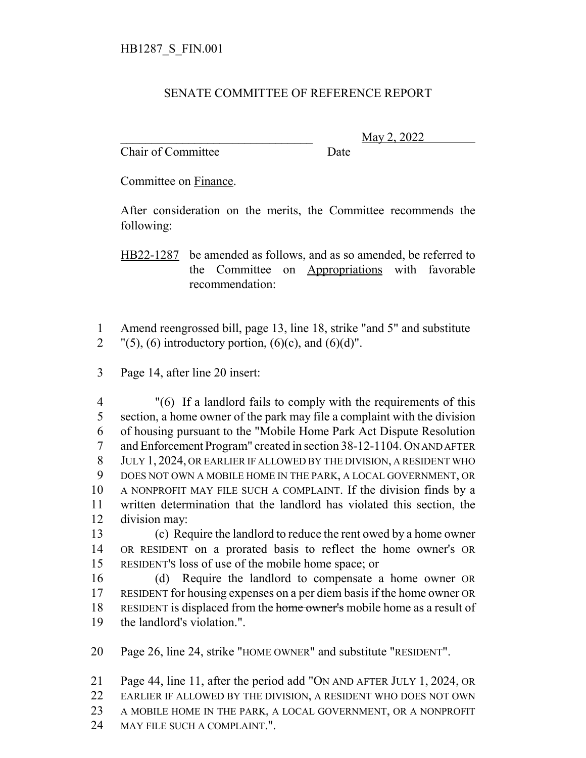## SENATE COMMITTEE OF REFERENCE REPORT

Chair of Committee Date

\_\_\_\_\_\_\_\_\_\_\_\_\_\_\_\_\_\_\_\_\_\_\_\_\_\_\_\_\_\_\_ May 2, 2022

Committee on Finance.

After consideration on the merits, the Committee recommends the following:

HB22-1287 be amended as follows, and as so amended, be referred to the Committee on Appropriations with favorable recommendation:

 Amend reengrossed bill, page 13, line 18, strike "and 5" and substitute 2  $"(5)$ , (6) introductory portion, (6)(c), and (6)(d)".

Page 14, after line 20 insert:

 "(6) If a landlord fails to comply with the requirements of this section, a home owner of the park may file a complaint with the division of housing pursuant to the "Mobile Home Park Act Dispute Resolution and Enforcement Program" created in section 38-12-1104. ON AND AFTER JULY 1, 2024, OR EARLIER IF ALLOWED BY THE DIVISION, A RESIDENT WHO DOES NOT OWN A MOBILE HOME IN THE PARK, A LOCAL GOVERNMENT, OR A NONPROFIT MAY FILE SUCH A COMPLAINT. If the division finds by a written determination that the landlord has violated this section, the division may:

 (c) Require the landlord to reduce the rent owed by a home owner OR RESIDENT on a prorated basis to reflect the home owner's OR RESIDENT'S loss of use of the mobile home space; or

 (d) Require the landlord to compensate a home owner OR RESIDENT for housing expenses on a per diem basis if the home owner OR 18 RESIDENT is displaced from the home owner's mobile home as a result of the landlord's violation.".

Page 26, line 24, strike "HOME OWNER" and substitute "RESIDENT".

Page 44, line 11, after the period add "ON AND AFTER JULY 1, 2024, OR

EARLIER IF ALLOWED BY THE DIVISION, A RESIDENT WHO DOES NOT OWN

A MOBILE HOME IN THE PARK, A LOCAL GOVERNMENT, OR A NONPROFIT

24 MAY FILE SUCH A COMPLAINT.".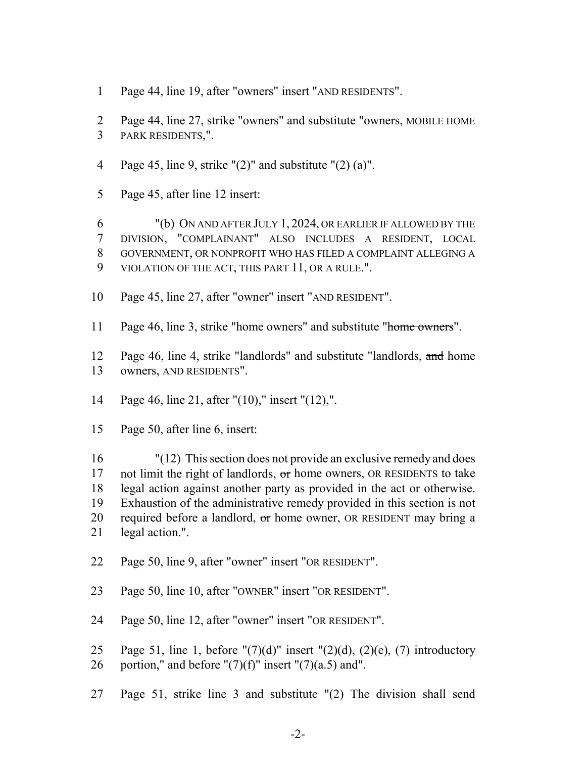- Page 44, line 19, after "owners" insert "AND RESIDENTS".
- Page 44, line 27, strike "owners" and substitute "owners, MOBILE HOME PARK RESIDENTS,".
- Page 45, line 9, strike "(2)" and substitute "(2) (a)".
- Page 45, after line 12 insert:

 "(b) ON AND AFTER JULY 1, 2024, OR EARLIER IF ALLOWED BY THE DIVISION, "COMPLAINANT" ALSO INCLUDES A RESIDENT, LOCAL GOVERNMENT, OR NONPROFIT WHO HAS FILED A COMPLAINT ALLEGING A 9 VIOLATION OF THE ACT, THIS PART 11, OR A RULE.".

- Page 45, line 27, after "owner" insert "AND RESIDENT".
- 11 Page 46, line 3, strike "home owners" and substitute "home owners".

12 Page 46, line 4, strike "landlords" and substitute "landlords, and home owners, AND RESIDENTS".

- Page 46, line 21, after "(10)," insert "(12),".
- Page 50, after line 6, insert:

 "(12) This section does not provide an exclusive remedy and does 17 not limit the right of landlords,  $\sigma$ r home owners, OR RESIDENTS to take legal action against another party as provided in the act or otherwise. Exhaustion of the administrative remedy provided in this section is not 20 required before a landlord,  $\sigma$ r home owner, OR RESIDENT may bring a 21 legal action.".

- Page 50, line 9, after "owner" insert "OR RESIDENT".
- Page 50, line 10, after "OWNER" insert "OR RESIDENT".

Page 50, line 12, after "owner" insert "OR RESIDENT".

25 Page 51, line 1, before " $(7)(d)$ " insert " $(2)(d)$ ,  $(2)(e)$ ,  $(7)$  introductory 26 portion," and before " $(7)(f)$ " insert " $(7)(a.5)$  and".

Page 51, strike line 3 and substitute "(2) The division shall send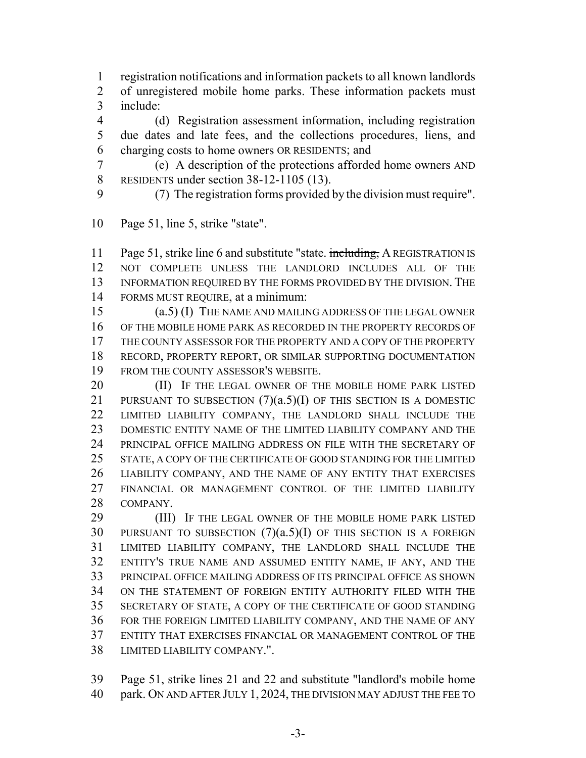registration notifications and information packets to all known landlords of unregistered mobile home parks. These information packets must include:

 (d) Registration assessment information, including registration due dates and late fees, and the collections procedures, liens, and charging costs to home owners OR RESIDENTS; and

 (e) A description of the protections afforded home owners AND RESIDENTS under section 38-12-1105 (13).

(7) The registration forms provided by the division must require".

Page 51, line 5, strike "state".

11 Page 51, strike line 6 and substitute "state. including, A REGISTRATION IS NOT COMPLETE UNLESS THE LANDLORD INCLUDES ALL OF THE INFORMATION REQUIRED BY THE FORMS PROVIDED BY THE DIVISION. THE FORMS MUST REQUIRE, at a minimum:

 (a.5) (I) THE NAME AND MAILING ADDRESS OF THE LEGAL OWNER OF THE MOBILE HOME PARK AS RECORDED IN THE PROPERTY RECORDS OF THE COUNTY ASSESSOR FOR THE PROPERTY AND A COPY OF THE PROPERTY RECORD, PROPERTY REPORT, OR SIMILAR SUPPORTING DOCUMENTATION FROM THE COUNTY ASSESSOR'S WEBSITE.

**(II)** IF THE LEGAL OWNER OF THE MOBILE HOME PARK LISTED 21 PURSUANT TO SUBSECTION  $(7)(a.5)(I)$  OF THIS SECTION IS A DOMESTIC LIMITED LIABILITY COMPANY, THE LANDLORD SHALL INCLUDE THE DOMESTIC ENTITY NAME OF THE LIMITED LIABILITY COMPANY AND THE 24 PRINCIPAL OFFICE MAILING ADDRESS ON FILE WITH THE SECRETARY OF 25 STATE, A COPY OF THE CERTIFICATE OF GOOD STANDING FOR THE LIMITED LIABILITY COMPANY, AND THE NAME OF ANY ENTITY THAT EXERCISES FINANCIAL OR MANAGEMENT CONTROL OF THE LIMITED LIABILITY COMPANY.

29 (III) IF THE LEGAL OWNER OF THE MOBILE HOME PARK LISTED 30 PURSUANT TO SUBSECTION  $(7)(a.5)(I)$  OF THIS SECTION IS A FOREIGN LIMITED LIABILITY COMPANY, THE LANDLORD SHALL INCLUDE THE ENTITY'S TRUE NAME AND ASSUMED ENTITY NAME, IF ANY, AND THE PRINCIPAL OFFICE MAILING ADDRESS OF ITS PRINCIPAL OFFICE AS SHOWN ON THE STATEMENT OF FOREIGN ENTITY AUTHORITY FILED WITH THE SECRETARY OF STATE, A COPY OF THE CERTIFICATE OF GOOD STANDING FOR THE FOREIGN LIMITED LIABILITY COMPANY, AND THE NAME OF ANY ENTITY THAT EXERCISES FINANCIAL OR MANAGEMENT CONTROL OF THE LIMITED LIABILITY COMPANY.".

 Page 51, strike lines 21 and 22 and substitute "landlord's mobile home park. ON AND AFTER JULY 1, 2024, THE DIVISION MAY ADJUST THE FEE TO